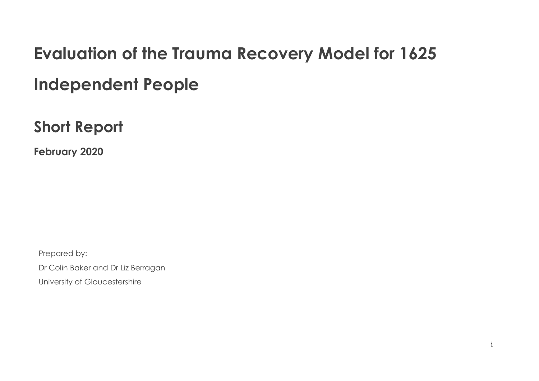# **Evaluation of the Trauma Recovery Model for 1625 Independent People**

**Short Report** 

**February 2020**

Prepared by:

Dr Colin Baker and Dr Liz Berragan

University of Gloucestershire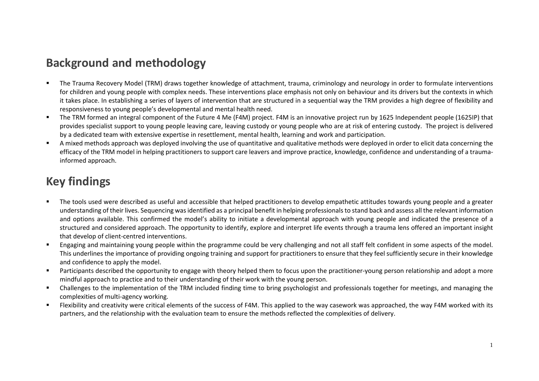# **Background and methodology**

- The Trauma Recovery Model (TRM) draws together knowledge of attachment, trauma, criminology and neurology in order to formulate interventions for children and young people with complex needs. These interventions place emphasis not only on behaviour and its drivers but the contexts in which it takes place. In establishing a series of layers of intervention that are structured in a sequential way the TRM provides a high degree of flexibility and responsiveness to young people's developmental and mental health need.
- The TRM formed an integral component of the Future 4 Me (F4M) project. F4M is an innovative project run by 1625 Independent people (1625IP) that provides specialist support to young people leaving care, leaving custody or young people who are at risk of entering custody. The project is delivered by a dedicated team with extensive expertise in resettlement, mental health, learning and work and participation.
- A mixed methods approach was deployed involving the use of quantitative and qualitative methods were deployed in order to elicit data concerning the efficacy of the TRM model in helping practitioners to support care leavers and improve practice, knowledge, confidence and understanding of a traumainformed approach.

# **Key findings**

- The tools used were described as useful and accessible that helped practitioners to develop empathetic attitudes towards young people and a greater understanding of their lives. Sequencing was identified as a principal benefit in helping professionals to stand back and assess all the relevant information and options available. This confirmed the model's ability to initiate a developmental approach with young people and indicated the presence of a structured and considered approach. The opportunity to identify, explore and interpret life events through a trauma lens offered an important insight that develop of client-centred interventions.
- Engaging and maintaining young people within the programme could be very challenging and not all staff felt confident in some aspects of the model. This underlines the importance of providing ongoing training and support for practitioners to ensure that they feel sufficiently secure in their knowledge and confidence to apply the model.
- Participants described the opportunity to engage with theory helped them to focus upon the practitioner-young person relationship and adopt a more mindful approach to practice and to their understanding of their work with the young person.
- Challenges to the implementation of the TRM included finding time to bring psychologist and professionals together for meetings, and managing the complexities of multi-agency working.
- Flexibility and creativity were critical elements of the success of F4M. This applied to the way casework was approached, the way F4M worked with its partners, and the relationship with the evaluation team to ensure the methods reflected the complexities of delivery.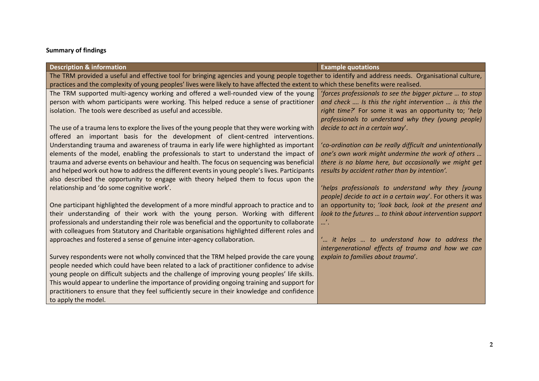#### **Summary of findings**

| <b>Description &amp; information</b>                                                                                                                | <b>Example quotations</b>                                  |  |
|-----------------------------------------------------------------------------------------------------------------------------------------------------|------------------------------------------------------------|--|
| The TRM provided a useful and effective tool for bringing agencies and young people together to identify and address needs. Organisational culture, |                                                            |  |
| practices and the complexity of young peoples' lives were likely to have affected the extent to which these benefits were realised.                 |                                                            |  |
| The TRM supported multi-agency working and offered a well-rounded view of the young                                                                 | 'forces professionals to see the bigger picture  to stop   |  |
| person with whom participants were working. This helped reduce a sense of practitioner                                                              | and check  Is this the right intervention  is this the     |  |
| isolation. The tools were described as useful and accessible.                                                                                       | right time?' For some it was an opportunity to; 'help      |  |
|                                                                                                                                                     | professionals to understand why they (young people)        |  |
| The use of a trauma lens to explore the lives of the young people that they were working with                                                       | decide to act in a certain way'.                           |  |
| offered an important basis for the development of client-centred interventions.                                                                     |                                                            |  |
| Understanding trauma and awareness of trauma in early life were highlighted as important                                                            | 'co-ordination can be really difficult and unintentionally |  |
| elements of the model, enabling the professionals to start to understand the impact of                                                              | one's own work might undermine the work of others          |  |
| trauma and adverse events on behaviour and health. The focus on sequencing was beneficial                                                           | there is no blame here, but occasionally we might get      |  |
| and helped work out how to address the different events in young people's lives. Participants                                                       | results by accident rather than by intention'.             |  |
| also described the opportunity to engage with theory helped them to focus upon the                                                                  |                                                            |  |
| relationship and 'do some cognitive work'.                                                                                                          | 'helps professionals to understand why they [young         |  |
|                                                                                                                                                     | people] decide to act in a certain way'. For others it was |  |
| One participant highlighted the development of a more mindful approach to practice and to                                                           | an opportunity to; 'look back, look at the present and     |  |
| their understanding of their work with the young person. Working with different                                                                     | look to the futures  to think about intervention support   |  |
| professionals and understanding their role was beneficial and the opportunity to collaborate                                                        | $\mathbf{u}$                                               |  |
| with colleagues from Statutory and Charitable organisations highlighted different roles and                                                         |                                                            |  |
| approaches and fostered a sense of genuine inter-agency collaboration.                                                                              | " it helps  to understand how to address the               |  |
|                                                                                                                                                     | intergenerational effects of trauma and how we can         |  |
| Survey respondents were not wholly convinced that the TRM helped provide the care young                                                             | explain to families about trauma'.                         |  |
| people needed which could have been related to a lack of practitioner confidence to advise                                                          |                                                            |  |
| young people on difficult subjects and the challenge of improving young peoples' life skills.                                                       |                                                            |  |
| This would appear to underline the importance of providing ongoing training and support for                                                         |                                                            |  |
| practitioners to ensure that they feel sufficiently secure in their knowledge and confidence                                                        |                                                            |  |
| to apply the model.                                                                                                                                 |                                                            |  |